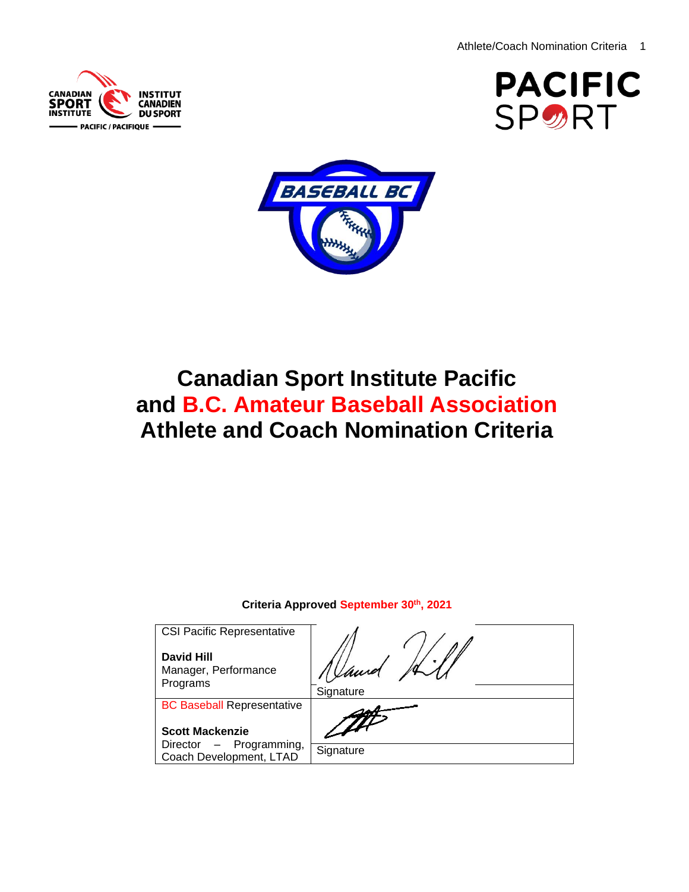





# **Canadian Sport Institute Pacific and B.C. Amateur Baseball Association Athlete and Coach Nomination Criteria**

## **Criteria Approved September 30th , 2021**

| <b>CSI Pacific Representative</b>                       |           |
|---------------------------------------------------------|-----------|
| <b>David Hill</b><br>Manager, Performance<br>Programs   |           |
|                                                         | Signature |
| <b>BC Baseball Representative</b>                       |           |
| <b>Scott Mackenzie</b>                                  |           |
| Programming,<br>Director $-$<br>Coach Development, LTAD | Signature |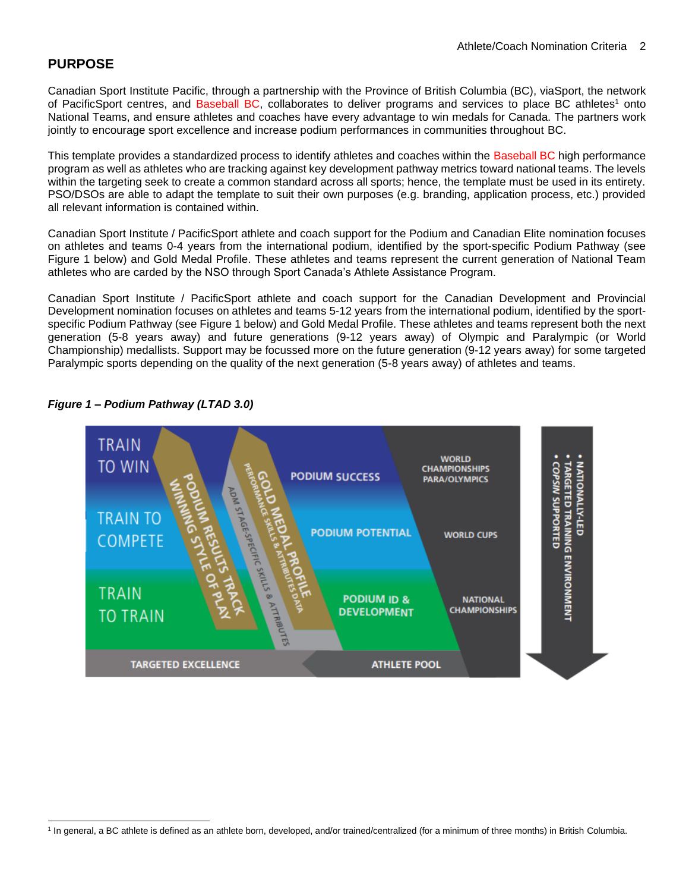## **PURPOSE**

Canadian Sport Institute Pacific, through a partnership with the Province of British Columbia (BC), viaSport, the network of PacificSport centres, and Baseball BC, collaborates to deliver programs and services to place BC athletes<sup>1</sup> onto National Teams, and ensure athletes and coaches have every advantage to win medals for Canada. The partners work jointly to encourage sport excellence and increase podium performances in communities throughout BC.

This template provides a standardized process to identify athletes and coaches within the Baseball BC high performance program as well as athletes who are tracking against key development pathway metrics toward national teams. The levels within the targeting seek to create a common standard across all sports; hence, the template must be used in its entirety. PSO/DSOs are able to adapt the template to suit their own purposes (e.g. branding, application process, etc.) provided all relevant information is contained within.

Canadian Sport Institute / PacificSport athlete and coach support for the Podium and Canadian Elite nomination focuses on athletes and teams 0-4 years from the international podium, identified by the sport-specific Podium Pathway (see Figure 1 below) and Gold Medal Profile. These athletes and teams represent the current generation of National Team athletes who are carded by the NSO through Sport Canada's Athlete Assistance Program.

Canadian Sport Institute / PacificSport athlete and coach support for the Canadian Development and Provincial Development nomination focuses on athletes and teams 5-12 years from the international podium, identified by the sportspecific Podium Pathway (see Figure 1 below) and Gold Medal Profile. These athletes and teams represent both the next generation (5-8 years away) and future generations (9-12 years away) of Olympic and Paralympic (or World Championship) medallists. Support may be focussed more on the future generation (9-12 years away) for some targeted Paralympic sports depending on the quality of the next generation (5-8 years away) of athletes and teams.



#### *Figure 1 – Podium Pathway (LTAD 3.0)*

<sup>&</sup>lt;sup>1</sup> In general, a BC athlete is defined as an athlete born, developed, and/or trained/centralized (for a minimum of three months) in British Columbia.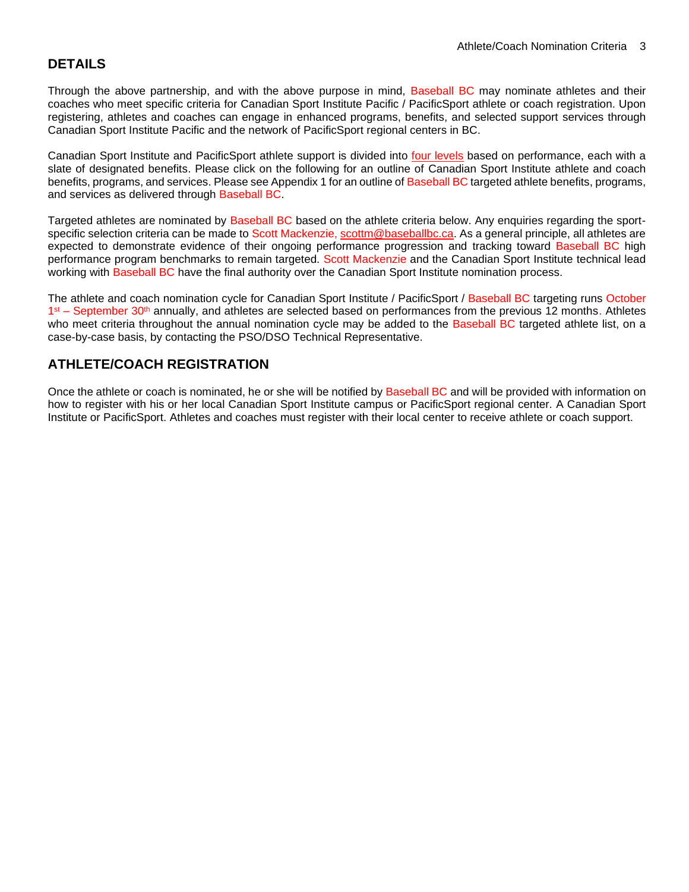## **DETAILS**

Through the above partnership, and with the above purpose in mind, Baseball BC may nominate athletes and their coaches who meet specific criteria for Canadian Sport Institute Pacific / PacificSport athlete or coach registration. Upon registering, athletes and coaches can engage in enhanced programs, benefits, and selected support services through Canadian Sport Institute Pacific and the network of [PacificSport r](http://www.cscpacific.ca/Content/Locations/Index.asp?langid=1)egional centers in BC.

Canadian Sport Institute and PacificSport athlete support is divided into [four levels](http://www.csipacific.ca/athletes/eligibility/) based on performance, each with a slate of designated benefits. Please click on the following for an outline of Canadian Sport Institute athlete and coach benefits, programs, and services. Please see Appendix 1 for an outline of Baseball BC targeted athlete benefits, programs, and services as delivered through Baseball BC.

Targeted athletes are nominated by Baseball BC based on the athlete criteria below. Any enquiries regarding the sportspecific selection criteria can be made to Scott Mackenzie, [scottm@baseballbc.ca.](mailto:scottm@baseballbc.ca) As a general principle, all athletes are expected to demonstrate evidence of their ongoing performance progression and tracking toward Baseball BC high performance program benchmarks to remain targeted. Scott Mackenzie and the Canadian Sport Institute technical lead working with Baseball BC have the final authority over the Canadian Sport Institute nomination process.

The athlete and coach nomination cycle for Canadian Sport Institute / PacificSport / Baseball BC targeting runs October 1<sup>st</sup> – September 30<sup>th</sup> annually, and athletes are selected based on performances from the previous 12 months. Athletes who meet criteria throughout the annual nomination cycle may be added to the Baseball BC targeted athlete list, on a case-by-case basis, by contacting the PSO/DSO Technical Representative.

# **ATHLETE/COACH REGISTRATION**

Once the athlete or coach is nominated, he or she will be notified by Baseball BC and will be provided with information on how to register with his or her local Canadian Sport Institute campus or PacificSport regional center. A Canadian Sport Institute or PacificSport. Athletes and coaches must register with their local center to receive athlete or coach support.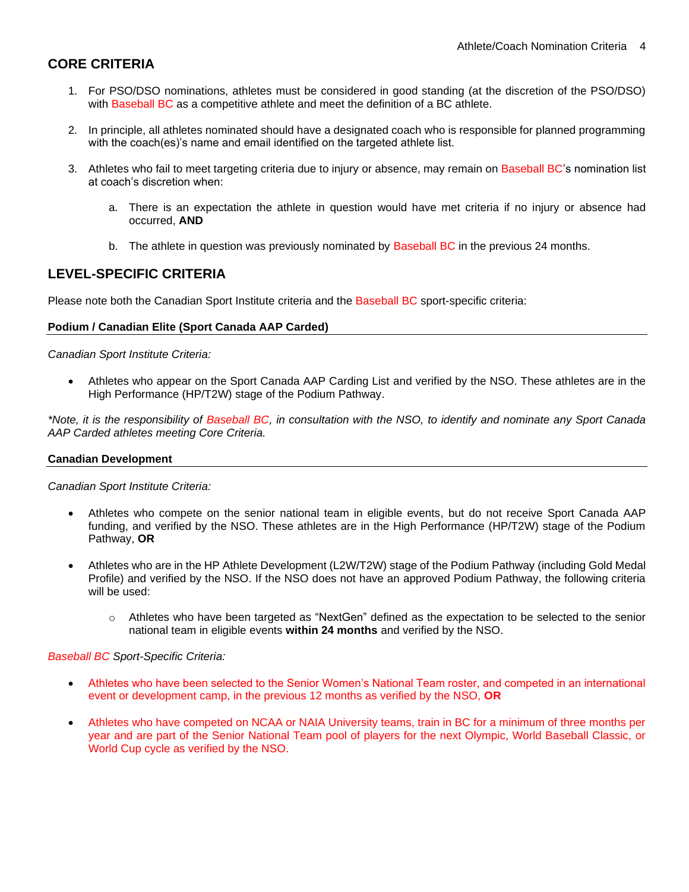# **CORE CRITERIA**

- 1. For PSO/DSO nominations, athletes must be considered in good standing (at the discretion of the PSO/DSO) with Baseball BC as a competitive athlete and meet the definition of a BC athlete.
- 2. In principle, all athletes nominated should have a designated coach who is responsible for planned programming with the coach(es)'s name and email identified on the targeted athlete list.
- 3. Athletes who fail to meet targeting criteria due to injury or absence, may remain on Baseball BC's nomination list at coach's discretion when:
	- a. There is an expectation the athlete in question would have met criteria if no injury or absence had occurred, **AND**
	- b. The athlete in question was previously nominated by Baseball BC in the previous 24 months.

## **LEVEL-SPECIFIC CRITERIA**

Please note both the Canadian Sport Institute criteria and the Baseball BC sport-specific criteria:

#### **Podium / Canadian Elite (Sport Canada AAP Carded)**

*Canadian Sport Institute Criteria:*

• Athletes who appear on the Sport Canada AAP Carding List and verified by the NSO. These athletes are in the High Performance (HP/T2W) stage of the Podium Pathway.

*\*Note, it is the responsibility of Baseball BC, in consultation with the NSO, to identify and nominate any Sport Canada AAP Carded athletes meeting Core Criteria.*

#### **Canadian Development**

*Canadian Sport Institute Criteria:*

- Athletes who compete on the senior national team in eligible events, but do not receive Sport Canada AAP funding, and verified by the NSO. These athletes are in the High Performance (HP/T2W) stage of the Podium Pathway, **OR**
- Athletes who are in the HP Athlete Development (L2W/T2W) stage of the Podium Pathway (including Gold Medal Profile) and verified by the NSO. If the NSO does not have an approved Podium Pathway, the following criteria will be used:
	- o Athletes who have been targeted as "NextGen" defined as the expectation to be selected to the senior national team in eligible events **within 24 months** and verified by the NSO.

#### *Baseball BC Sport-Specific Criteria:*

- Athletes who have been selected to the Senior Women's National Team roster, and competed in an international event or development camp, in the previous 12 months as verified by the NSO, **OR**
- Athletes who have competed on NCAA or NAIA University teams, train in BC for a minimum of three months per year and are part of the Senior National Team pool of players for the next Olympic, World Baseball Classic, or World Cup cycle as verified by the NSO.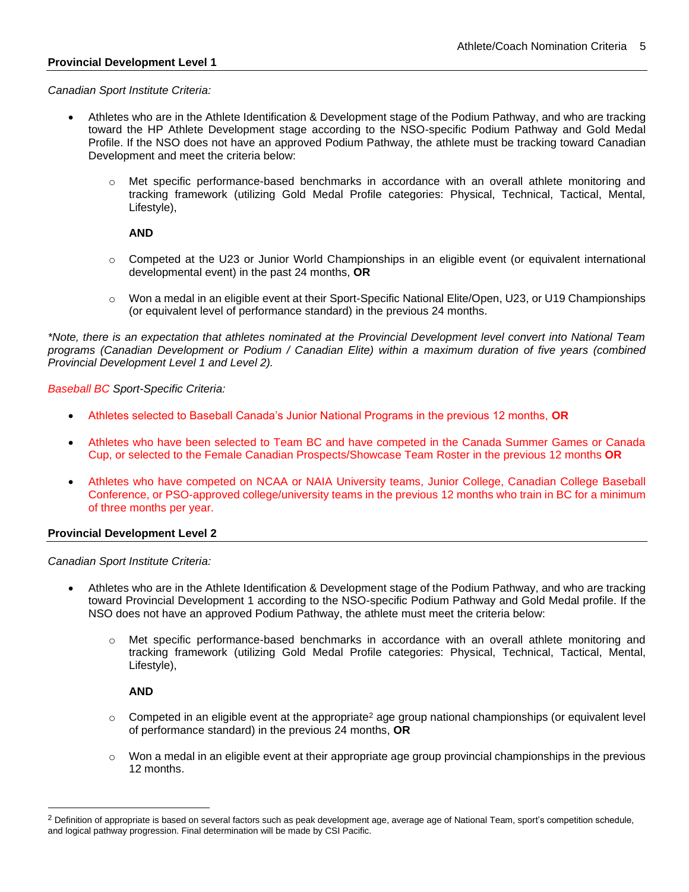#### **Provincial Development Level 1**

*Canadian Sport Institute Criteria:*

- Athletes who are in the Athlete Identification & Development stage of the Podium Pathway, and who are tracking toward the HP Athlete Development stage according to the NSO-specific Podium Pathway and Gold Medal Profile. If the NSO does not have an approved Podium Pathway, the athlete must be tracking toward Canadian Development and meet the criteria below:
	- o Met specific performance-based benchmarks in accordance with an overall athlete monitoring and tracking framework (utilizing Gold Medal Profile categories: Physical, Technical, Tactical, Mental, Lifestyle),

#### **AND**

- o Competed at the U23 or Junior World Championships in an eligible event (or equivalent international developmental event) in the past 24 months, **OR**
- o Won a medal in an eligible event at their Sport-Specific National Elite/Open, U23, or U19 Championships (or equivalent level of performance standard) in the previous 24 months.

*\*Note, there is an expectation that athletes nominated at the Provincial Development level convert into National Team programs (Canadian Development or Podium / Canadian Elite) within a maximum duration of five years (combined Provincial Development Level 1 and Level 2).*

#### *Baseball BC Sport-Specific Criteria:*

- Athletes selected to Baseball Canada's Junior National Programs in the previous 12 months, **OR**
- Athletes who have been selected to Team BC and have competed in the Canada Summer Games or Canada Cup, or selected to the Female Canadian Prospects/Showcase Team Roster in the previous 12 months **OR**
- Athletes who have competed on NCAA or NAIA University teams, Junior College, Canadian College Baseball Conference, or PSO-approved college/university teams in the previous 12 months who train in BC for a minimum of three months per year.

#### **Provincial Development Level 2**

*Canadian Sport Institute Criteria:*

- Athletes who are in the Athlete Identification & Development stage of the Podium Pathway, and who are tracking toward Provincial Development 1 according to the NSO-specific Podium Pathway and Gold Medal profile. If the NSO does not have an approved Podium Pathway, the athlete must meet the criteria below:
	- Met specific performance-based benchmarks in accordance with an overall athlete monitoring and tracking framework (utilizing Gold Medal Profile categories: Physical, Technical, Tactical, Mental, Lifestyle),

#### **AND**

- $\circ$  Competed in an eligible event at the appropriate<sup>2</sup> age group national championships (or equivalent level of performance standard) in the previous 24 months, **OR**
- o Won a medal in an eligible event at their appropriate age group provincial championships in the previous 12 months.

<sup>&</sup>lt;sup>2</sup> Definition of appropriate is based on several factors such as peak development age, average age of National Team, sport's competition schedule, and logical pathway progression. Final determination will be made by CSI Pacific.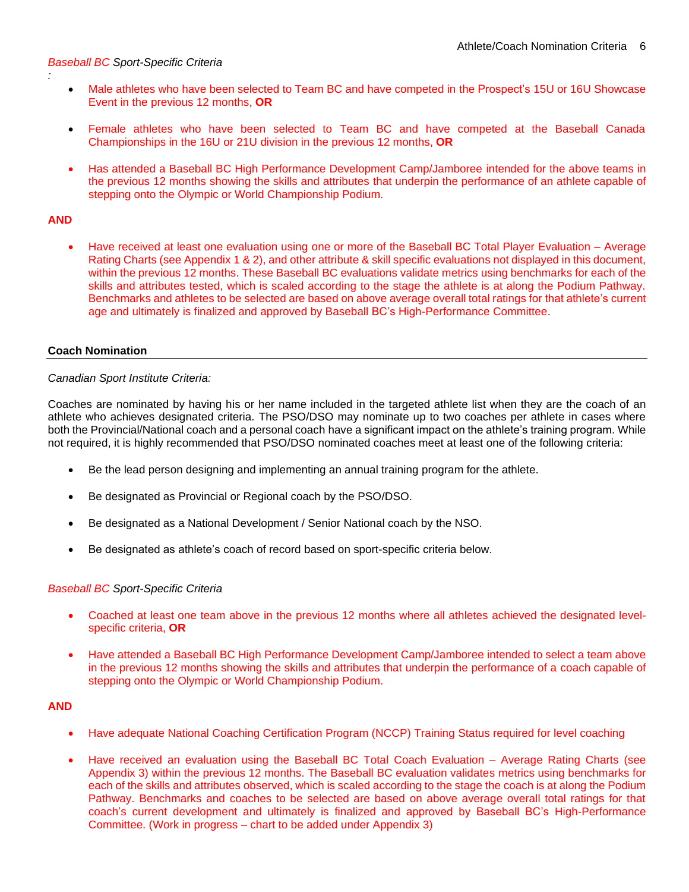#### *Baseball BC Sport-Specific Criteria*

- Male athletes who have been selected to Team BC and have competed in the Prospect's 15U or 16U Showcase Event in the previous 12 months, **OR**
- Female athletes who have been selected to Team BC and have competed at the Baseball Canada Championships in the 16U or 21U division in the previous 12 months, **OR**
- Has attended a Baseball BC High Performance Development Camp/Jamboree intended for the above teams in the previous 12 months showing the skills and attributes that underpin the performance of an athlete capable of stepping onto the Olympic or World Championship Podium.

#### **AND**

*:*

• Have received at least one evaluation using one or more of the Baseball BC Total Player Evaluation – Average Rating Charts (see Appendix 1 & 2), and other attribute & skill specific evaluations not displayed in this document, within the previous 12 months. These Baseball BC evaluations validate metrics using benchmarks for each of the skills and attributes tested, which is scaled according to the stage the athlete is at along the Podium Pathway. Benchmarks and athletes to be selected are based on above average overall total ratings for that athlete's current age and ultimately is finalized and approved by Baseball BC's High-Performance Committee.

#### **Coach Nomination**

#### *Canadian Sport Institute Criteria:*

Coaches are nominated by having his or her name included in the targeted athlete list when they are the coach of an athlete who achieves designated criteria. The PSO/DSO may nominate up to two coaches per athlete in cases where both the Provincial/National coach and a personal coach have a significant impact on the athlete's training program. While not required, it is highly recommended that PSO/DSO nominated coaches meet at least one of the following criteria:

- Be the lead person designing and implementing an annual training program for the athlete.
- Be designated as Provincial or Regional coach by the PSO/DSO.
- Be designated as a National Development / Senior National coach by the NSO.
- Be designated as athlete's coach of record based on sport-specific criteria below.

#### *Baseball BC Sport-Specific Criteria*

- Coached at least one team above in the previous 12 months where all athletes achieved the designated levelspecific criteria, **OR**
- Have attended a Baseball BC High Performance Development Camp/Jamboree intended to select a team above in the previous 12 months showing the skills and attributes that underpin the performance of a coach capable of stepping onto the Olympic or World Championship Podium.

#### **AND**

- Have adequate National Coaching Certification Program (NCCP) Training Status required for level coaching
- Have received an evaluation using the Baseball BC Total Coach Evaluation Average Rating Charts (see Appendix 3) within the previous 12 months. The Baseball BC evaluation validates metrics using benchmarks for each of the skills and attributes observed, which is scaled according to the stage the coach is at along the Podium Pathway. Benchmarks and coaches to be selected are based on above average overall total ratings for that coach's current development and ultimately is finalized and approved by Baseball BC's High-Performance Committee. (Work in progress – chart to be added under Appendix 3)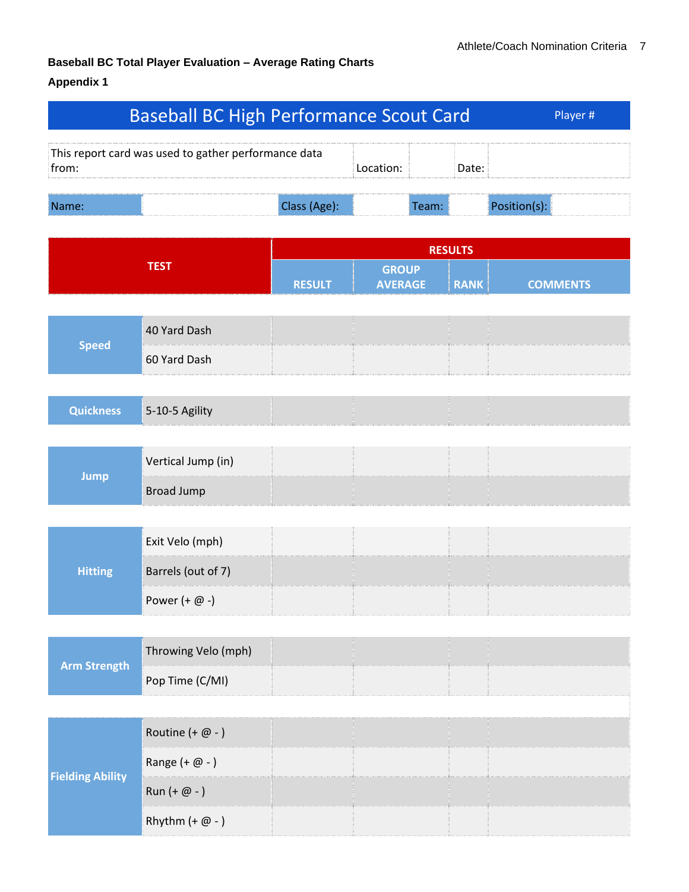# **Baseball BC Total Player Evaluation – Average Rating Charts**

## **Appendix 1**

|                         | <b>Baseball BC High Performance Scout Card</b>       |               |                                |                |             | Player #        |
|-------------------------|------------------------------------------------------|---------------|--------------------------------|----------------|-------------|-----------------|
| from:                   | This report card was used to gather performance data |               | Location:                      |                | Date:       |                 |
| Name:                   |                                                      | Class (Age):  |                                | Team:          |             | Position(s):    |
|                         |                                                      |               |                                | <b>RESULTS</b> |             |                 |
|                         | <b>TEST</b>                                          | <b>RESULT</b> | <b>GROUP</b><br><b>AVERAGE</b> |                | <b>RANK</b> | <b>COMMENTS</b> |
|                         |                                                      |               |                                |                |             |                 |
| <b>Speed</b>            | 40 Yard Dash                                         |               |                                |                |             |                 |
|                         | 60 Yard Dash                                         |               |                                |                |             |                 |
|                         |                                                      |               |                                |                |             |                 |
| <b>Quickness</b>        | 5-10-5 Agility                                       |               |                                |                |             |                 |
|                         | Vertical Jump (in)                                   |               |                                |                |             |                 |
| <b>Jump</b>             | <b>Broad Jump</b>                                    |               |                                |                |             |                 |
|                         |                                                      |               |                                |                |             |                 |
|                         | Exit Velo (mph)                                      |               |                                |                |             |                 |
| <b>Hitting</b>          | Barrels (out of 7)                                   |               |                                |                |             |                 |
|                         | Power $(+ \varpi - )$                                |               |                                |                |             |                 |
|                         |                                                      |               |                                |                |             |                 |
| <b>Arm Strength</b>     | Throwing Velo (mph)                                  |               |                                |                |             |                 |
|                         | Pop Time (C/MI)                                      |               |                                |                |             |                 |
|                         |                                                      |               |                                |                |             |                 |
|                         | Routine $(+ \omega - )$                              |               |                                |                |             |                 |
| <b>Fielding Ability</b> | Range $(+ \varpi - )$                                |               |                                |                |             |                 |
|                         | Run $(+ \varpi - )$                                  |               |                                |                |             |                 |
|                         | Rhythm $(+ \omega - )$                               |               |                                |                |             |                 |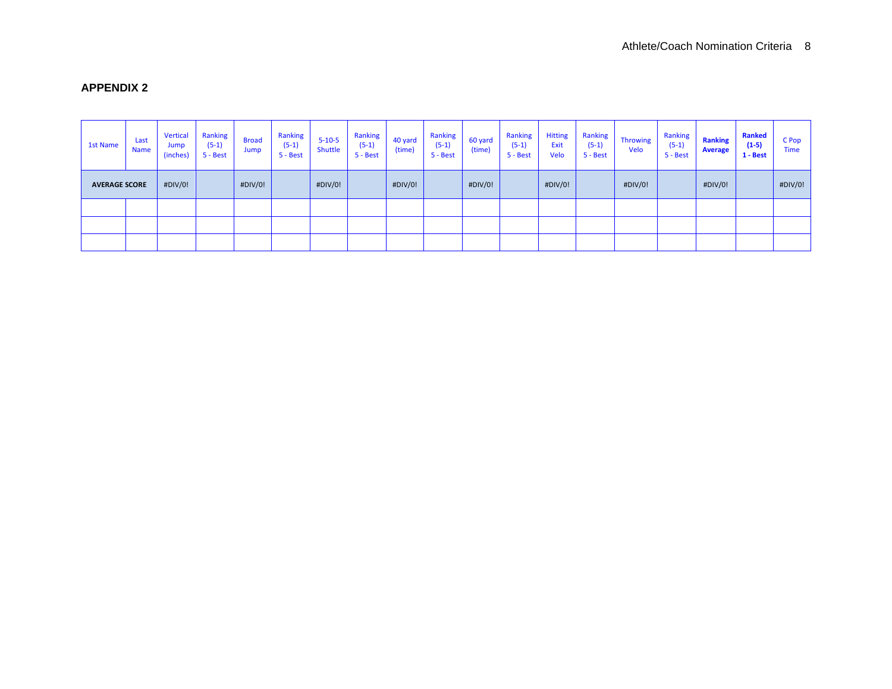## **APPENDIX 2**

| <b>1st Name</b>      | Last<br>Name | Vertical<br>Jump<br>(inches) | <b>Ranking</b><br>$(5-1)$<br>5 - Best | <b>Broad</b><br>Jump | Ranking<br>$(5-1)$<br>5 - Best | $5 - 10 - 5$<br>Shuttle | <b>Ranking</b><br>$(5-1)$<br>5 - Best | 40 yard<br>(time) | <b>Ranking</b><br>$(5-1)$<br>5 - Best | 60 yard<br>(time) | Ranking<br>$(5-1)$<br>5 - Best | <b>Hitting</b><br>Exit<br>Velo | <b>Ranking</b><br>$(5-1)$<br>5 - Best | <b>Throwing</b><br>Velo | <b>Ranking</b><br>$(5-1)$<br>5 - Best | <b>Ranking</b><br><b>Average</b> | <b>Ranked</b><br>$(1-5)$<br>$1 - Best$ | C Pop<br><b>Time</b> |
|----------------------|--------------|------------------------------|---------------------------------------|----------------------|--------------------------------|-------------------------|---------------------------------------|-------------------|---------------------------------------|-------------------|--------------------------------|--------------------------------|---------------------------------------|-------------------------|---------------------------------------|----------------------------------|----------------------------------------|----------------------|
| <b>AVERAGE SCORE</b> |              | #DIV/0!                      |                                       | #DIV/0!              |                                | #DIV/0!                 |                                       | #DIV/0!           |                                       | #DIV/0!           |                                | #DIV/0!                        |                                       | #DIV/0!                 |                                       | #DIV/0!                          |                                        | #DIV/0!              |
|                      |              |                              |                                       |                      |                                |                         |                                       |                   |                                       |                   |                                |                                |                                       |                         |                                       |                                  |                                        |                      |
|                      |              |                              |                                       |                      |                                |                         |                                       |                   |                                       |                   |                                |                                |                                       |                         |                                       |                                  |                                        |                      |
|                      |              |                              |                                       |                      |                                |                         |                                       |                   |                                       |                   |                                |                                |                                       |                         |                                       |                                  |                                        |                      |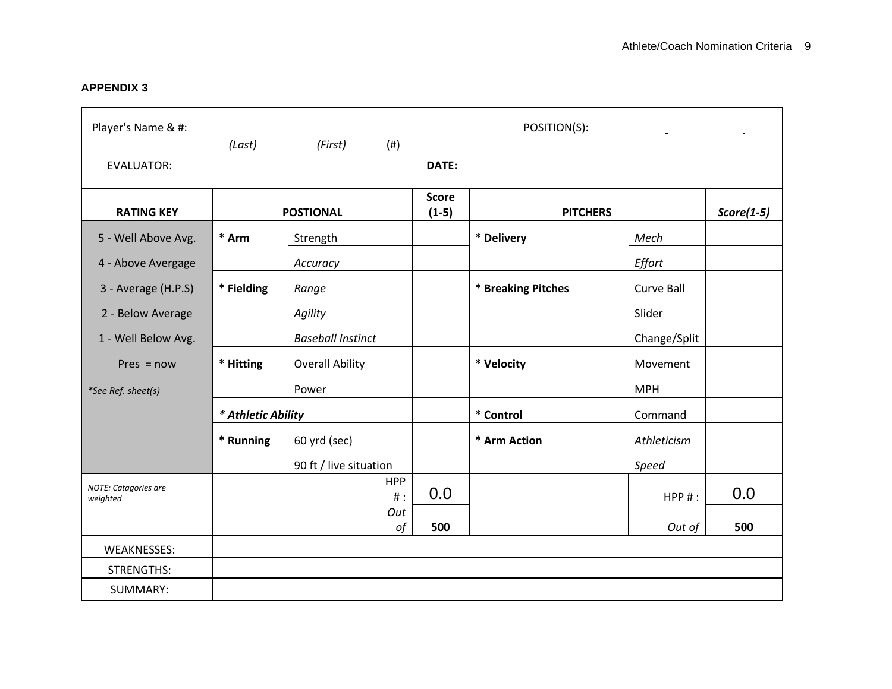**APPENDIX 3**

| Player's Name & #:               |                    |                          |                         | POSITION(S):       | and the control of the control of the |              |  |
|----------------------------------|--------------------|--------------------------|-------------------------|--------------------|---------------------------------------|--------------|--|
|                                  | (Last)             | (First)<br>(#)           |                         |                    |                                       |              |  |
| <b>EVALUATOR:</b>                |                    |                          | DATE:                   |                    |                                       |              |  |
| <b>RATING KEY</b>                |                    | <b>POSTIONAL</b>         | <b>Score</b><br>$(1-5)$ | <b>PITCHERS</b>    |                                       | $Score(1-5)$ |  |
| 5 - Well Above Avg.              | * Arm              | Strength                 |                         | * Delivery         | Mech                                  |              |  |
|                                  |                    |                          |                         |                    |                                       |              |  |
| 4 - Above Avergage               |                    | Accuracy                 |                         |                    | Effort                                |              |  |
| 3 - Average (H.P.S)              | * Fielding         | Range                    |                         | * Breaking Pitches | Curve Ball                            |              |  |
| 2 - Below Average                |                    | Agility                  |                         |                    | Slider                                |              |  |
| 1 - Well Below Avg.              |                    | <b>Baseball Instinct</b> |                         |                    | Change/Split                          |              |  |
| $Pres = now$                     | * Hitting          | <b>Overall Ability</b>   |                         | * Velocity         | Movement                              |              |  |
| *See Ref. sheet(s)               |                    | Power                    |                         |                    | <b>MPH</b>                            |              |  |
|                                  | * Athletic Ability |                          |                         | * Control          | Command                               |              |  |
|                                  | * Running          | 60 yrd (sec)             |                         | * Arm Action       | Athleticism                           |              |  |
|                                  |                    | 90 ft / live situation   |                         |                    | Speed                                 |              |  |
| NOTE: Catagories are<br>weighted |                    | <b>HPP</b><br>$#$ :      | 0.0                     |                    | $HPP$ #:                              | 0.0          |  |
|                                  |                    | Out<br>of                | 500                     |                    | Out of                                | 500          |  |
|                                  |                    |                          |                         |                    |                                       |              |  |
| <b>WEAKNESSES:</b>               |                    |                          |                         |                    |                                       |              |  |
| STRENGTHS:                       |                    |                          |                         |                    |                                       |              |  |
| SUMMARY:                         |                    |                          |                         |                    |                                       |              |  |